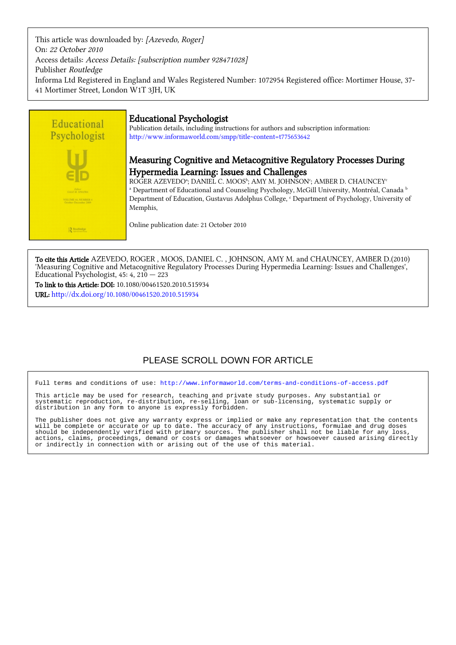This article was downloaded by: [Azevedo, Roger] On: 22 October 2010 Access details: Access Details: [subscription number 928471028] Publisher Routledge Informa Ltd Registered in England and Wales Registered Number: 1072954 Registered office: Mortimer House, 37- 41 Mortimer Street, London W1T 3JH, UK



# Educational Psychologist

Publication details, including instructions for authors and subscription information: <http://www.informaworld.com/smpp/title~content=t775653642>

# Measuring Cognitive and Metacognitive Regulatory Processes During Hypermedia Learning: Issues and Challenges

ROGER AZEVEDOª; DANIEL C. MOOSʰ; AMY M. JOHNSON°; AMBER D. CHAUNCEY° <sup>a</sup> Department of Educational and Counseling Psychology, McGill University, Montréal, Canada <sup>b</sup> Department of Education, Gustavus Adolphus College, <sup>c</sup> Department of Psychology, University of Memphis,

Online publication date: 21 October 2010

To cite this Article AZEVEDO, ROGER , MOOS, DANIEL C. , JOHNSON, AMY M. and CHAUNCEY, AMBER D.(2010) 'Measuring Cognitive and Metacognitive Regulatory Processes During Hypermedia Learning: Issues and Challenges', Educational Psychologist,  $45: 4$ ,  $210 - 223$ 

To link to this Article: DOI: 10.1080/00461520.2010.515934 URL: <http://dx.doi.org/10.1080/00461520.2010.515934>

# PLEASE SCROLL DOWN FOR ARTICLE

Full terms and conditions of use:<http://www.informaworld.com/terms-and-conditions-of-access.pdf>

This article may be used for research, teaching and private study purposes. Any substantial or systematic reproduction, re-distribution, re-selling, loan or sub-licensing, systematic supply or distribution in any form to anyone is expressly forbidden.

The publisher does not give any warranty express or implied or make any representation that the contents will be complete or accurate or up to date. The accuracy of any instructions, formulae and drug doses should be independently verified with primary sources. The publisher shall not be liable for any loss, actions, claims, proceedings, demand or costs or damages whatsoever or howsoever caused arising directly or indirectly in connection with or arising out of the use of this material.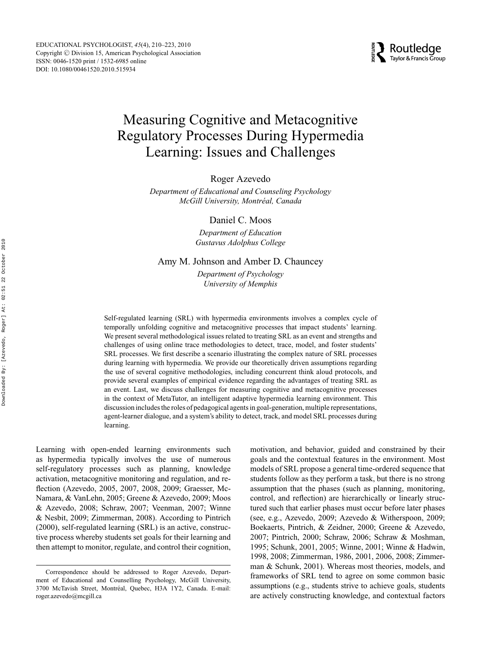

# Measuring Cognitive and Metacognitive Regulatory Processes During Hypermedia Learning: Issues and Challenges

Roger Azevedo

*Department of Educational and Counseling Psychology McGill University, Montreal, Canada ´*

Daniel C. Moos

*Department of Education Gustavus Adolphus College*

Amy M. Johnson and Amber D. Chauncey

*Department of Psychology University of Memphis*

Self-regulated learning (SRL) with hypermedia environments involves a complex cycle of temporally unfolding cognitive and metacognitive processes that impact students' learning. We present several methodological issues related to treating SRL as an event and strengths and challenges of using online trace methodologies to detect, trace, model, and foster students' SRL processes. We first describe a scenario illustrating the complex nature of SRL processes during learning with hypermedia. We provide our theoretically driven assumptions regarding the use of several cognitive methodologies, including concurrent think aloud protocols, and provide several examples of empirical evidence regarding the advantages of treating SRL as an event. Last, we discuss challenges for measuring cognitive and metacognitive processes in the context of MetaTutor, an intelligent adaptive hypermedia learning environment. This discussion includes the roles of pedagogical agents in goal-generation, multiple representations, agent-learner dialogue, and a system's ability to detect, track, and model SRL processes during learning.

Learning with open-ended learning environments such as hypermedia typically involves the use of numerous self-regulatory processes such as planning, knowledge activation, metacognitive monitoring and regulation, and reflection (Azevedo, 2005, 2007, 2008, 2009; Graesser, Mc-Namara, & VanLehn, 2005; Greene & Azevedo, 2009; Moos & Azevedo, 2008; Schraw, 2007; Veenman, 2007; Winne & Nesbit, 2009; Zimmerman, 2008). According to Pintrich (2000), self-regulated learning (SRL) is an active, constructive process whereby students set goals for their learning and then attempt to monitor, regulate, and control their cognition,

motivation, and behavior, guided and constrained by their goals and the contextual features in the environment. Most models of SRL propose a general time-ordered sequence that students follow as they perform a task, but there is no strong assumption that the phases (such as planning, monitoring, control, and reflection) are hierarchically or linearly structured such that earlier phases must occur before later phases (see, e.g., Azevedo, 2009; Azevedo & Witherspoon, 2009; Boekaerts, Pintrich, & Zeidner, 2000; Greene & Azevedo, 2007; Pintrich, 2000; Schraw, 2006; Schraw & Moshman, 1995; Schunk, 2001, 2005; Winne, 2001; Winne & Hadwin, 1998, 2008; Zimmerman, 1986, 2001, 2006, 2008; Zimmerman & Schunk, 2001). Whereas most theories, models, and frameworks of SRL tend to agree on some common basic assumptions (e.g., students strive to achieve goals, students are actively constructing knowledge, and contextual factors

Correspondence should be addressed to Roger Azevedo, Department of Educational and Counselling Psychology, McGill University, 3700 McTavish Street, Montreal, Quebec, H3A 1Y2, Canada. E-mail: ´ roger.azevedo@mcgill.ca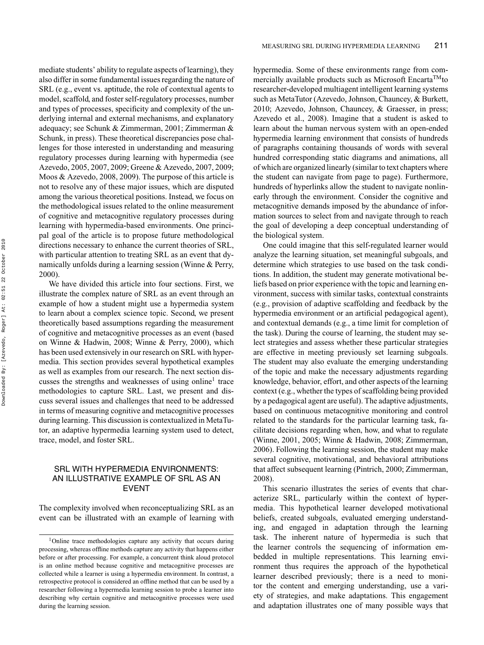mediate students' ability to regulate aspects of learning), they also differ in some fundamental issues regarding the nature of SRL (e.g., event vs. aptitude, the role of contextual agents to model, scaffold, and foster self-regulatory processes, number and types of processes, specificity and complexity of the underlying internal and external mechanisms, and explanatory adequacy; see Schunk & Zimmerman, 2001; Zimmerman & Schunk, in press). These theoretical discrepancies pose challenges for those interested in understanding and measuring regulatory processes during learning with hypermedia (see Azevedo, 2005, 2007, 2009; Greene & Azevedo, 2007, 2009; Moos & Azevedo, 2008, 2009). The purpose of this article is not to resolve any of these major issues, which are disputed among the various theoretical positions. Instead, we focus on the methodological issues related to the online measurement of cognitive and metacognitive regulatory processes during learning with hypermedia-based environments. One principal goal of the article is to propose future methodological directions necessary to enhance the current theories of SRL, with particular attention to treating SRL as an event that dynamically unfolds during a learning session (Winne & Perry, 2000).

We have divided this article into four sections. First, we illustrate the complex nature of SRL as an event through an example of how a student might use a hypermedia system to learn about a complex science topic. Second, we present theoretically based assumptions regarding the measurement of cognitive and metacognitive processes as an event (based on Winne & Hadwin, 2008; Winne & Perry, 2000), which has been used extensively in our research on SRL with hypermedia. This section provides several hypothetical examples as well as examples from our research. The next section discusses the strengths and weaknesses of using online<sup>1</sup> trace methodologies to capture SRL. Last, we present and discuss several issues and challenges that need to be addressed in terms of measuring cognitive and metacognitive processes during learning. This discussion is contextualized in MetaTutor, an adaptive hypermedia learning system used to detect, trace, model, and foster SRL.

## SRL WITH HYPERMEDIA ENVIRONMENTS: AN ILLUSTRATIVE EXAMPLE OF SRL AS AN EVENT

The complexity involved when reconceptualizing SRL as an event can be illustrated with an example of learning with

hypermedia. Some of these environments range from commercially available products such as Microsoft Encarta<sup>TM</sup>to researcher-developed multiagent intelligent learning systems such as MetaTutor (Azevedo, Johnson, Chauncey, & Burkett, 2010; Azevedo, Johnson, Chauncey, & Graesser, in press; Azevedo et al., 2008). Imagine that a student is asked to learn about the human nervous system with an open-ended hypermedia learning environment that consists of hundreds of paragraphs containing thousands of words with several hundred corresponding static diagrams and animations, all of which are organized linearly (similar to text chapters where the student can navigate from page to page). Furthermore, hundreds of hyperlinks allow the student to navigate nonlinearly through the environment. Consider the cognitive and metacognitive demands imposed by the abundance of information sources to select from and navigate through to reach the goal of developing a deep conceptual understanding of the biological system.

One could imagine that this self-regulated learner would analyze the learning situation, set meaningful subgoals, and determine which strategies to use based on the task conditions. In addition, the student may generate motivational beliefs based on prior experience with the topic and learning environment, success with similar tasks, contextual constraints (e.g., provision of adaptive scaffolding and feedback by the hypermedia environment or an artificial pedagogical agent), and contextual demands (e.g., a time limit for completion of the task). During the course of learning, the student may select strategies and assess whether these particular strategies are effective in meeting previously set learning subgoals. The student may also evaluate the emerging understanding of the topic and make the necessary adjustments regarding knowledge, behavior, effort, and other aspects of the learning context (e.g., whether the types of scaffolding being provided by a pedagogical agent are useful). The adaptive adjustments, based on continuous metacognitive monitoring and control related to the standards for the particular learning task, facilitate decisions regarding when, how, and what to regulate (Winne, 2001, 2005; Winne & Hadwin, 2008; Zimmerman, 2006). Following the learning session, the student may make several cognitive, motivational, and behavioral attributions that affect subsequent learning (Pintrich, 2000; Zimmerman, 2008).

This scenario illustrates the series of events that characterize SRL, particularly within the context of hypermedia. This hypothetical learner developed motivational beliefs, created subgoals, evaluated emerging understanding, and engaged in adaptation through the learning task. The inherent nature of hypermedia is such that the learner controls the sequencing of information embedded in multiple representations. This learning environment thus requires the approach of the hypothetical learner described previously; there is a need to monitor the content and emerging understanding, use a variety of strategies, and make adaptations. This engagement and adaptation illustrates one of many possible ways that

<sup>&</sup>lt;sup>1</sup>Online trace methodologies capture any activity that occurs during processing, whereas offline methods capture any activity that happens either before or after processing. For example, a concurrent think aloud protocol is an online method because cognitive and metacognitive processes are collected while a learner is using a hypermedia environment. In contrast, a retrospective protocol is considered an offline method that can be used by a researcher following a hypermedia learning session to probe a learner into describing why certain cognitive and metacognitive processes were used during the learning session.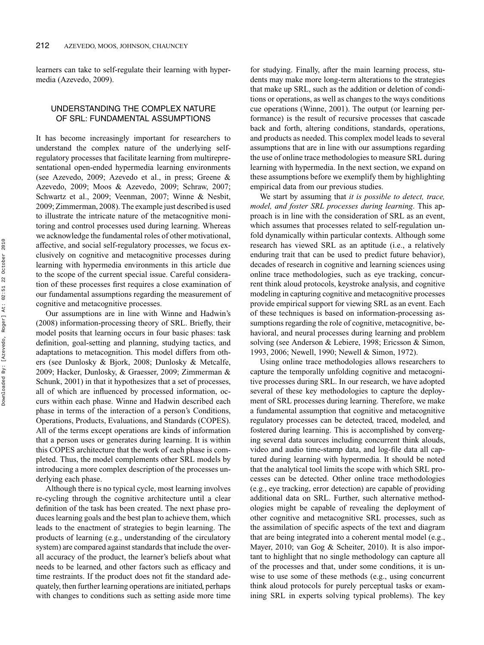learners can take to self-regulate their learning with hypermedia (Azevedo, 2009).

## UNDERSTANDING THE COMPLEX NATURE OF SRL: FUNDAMENTAL ASSUMPTIONS

It has become increasingly important for researchers to understand the complex nature of the underlying selfregulatory processes that facilitate learning from multirepresentational open-ended hypermedia learning environments (see Azevedo, 2009; Azevedo et al., in press; Greene & Azevedo, 2009; Moos & Azevedo, 2009; Schraw, 2007; Schwartz et al., 2009; Veenman, 2007; Winne & Nesbit, 2009; Zimmerman, 2008). The example just described is used to illustrate the intricate nature of the metacognitive monitoring and control processes used during learning. Whereas we acknowledge the fundamental roles of other motivational, affective, and social self-regulatory processes, we focus exclusively on cognitive and metacognitive processes during learning with hypermedia environments in this article due to the scope of the current special issue. Careful consideration of these processes first requires a close examination of our fundamental assumptions regarding the measurement of cognitive and metacognitive processes.

Our assumptions are in line with Winne and Hadwin's (2008) information-processing theory of SRL. Briefly, their model posits that learning occurs in four basic phases: task definition, goal-setting and planning, studying tactics, and adaptations to metacognition. This model differs from others (see Dunlosky & Bjork, 2008; Dunlosky & Metcalfe, 2009; Hacker, Dunlosky, & Graesser, 2009; Zimmerman & Schunk, 2001) in that it hypothesizes that a set of processes, all of which are influenced by processed information, occurs within each phase. Winne and Hadwin described each phase in terms of the interaction of a person's Conditions, Operations, Products, Evaluations, and Standards (COPES). All of the terms except operations are kinds of information that a person uses or generates during learning. It is within this COPES architecture that the work of each phase is completed. Thus, the model complements other SRL models by introducing a more complex description of the processes underlying each phase.

Although there is no typical cycle, most learning involves re-cycling through the cognitive architecture until a clear definition of the task has been created. The next phase produces learning goals and the best plan to achieve them, which leads to the enactment of strategies to begin learning. The products of learning (e.g., understanding of the circulatory system) are compared against standards that include the overall accuracy of the product, the learner's beliefs about what needs to be learned, and other factors such as efficacy and time restraints. If the product does not fit the standard adequately, then further learning operations are initiated, perhaps with changes to conditions such as setting aside more time for studying. Finally, after the main learning process, students may make more long-term alterations to the strategies that make up SRL, such as the addition or deletion of conditions or operations, as well as changes to the ways conditions cue operations (Winne, 2001). The output (or learning performance) is the result of recursive processes that cascade back and forth, altering conditions, standards, operations, and products as needed. This complex model leads to several assumptions that are in line with our assumptions regarding the use of online trace methodologies to measure SRL during learning with hypermedia. In the next section, we expand on these assumptions before we exemplify them by highlighting empirical data from our previous studies.

We start by assuming that *it is possible to detect, trace, model, and foster SRL processes during learning*. This approach is in line with the consideration of SRL as an event, which assumes that processes related to self-regulation unfold dynamically within particular contexts. Although some research has viewed SRL as an aptitude (i.e., a relatively enduring trait that can be used to predict future behavior), decades of research in cognitive and learning sciences using online trace methodologies, such as eye tracking, concurrent think aloud protocols, keystroke analysis, and cognitive modeling in capturing cognitive and metacognitive processes provide empirical support for viewing SRL as an event. Each of these techniques is based on information-processing assumptions regarding the role of cognitive, metacognitive, behavioral, and neural processes during learning and problem solving (see Anderson & Lebiere, 1998; Ericsson & Simon, 1993, 2006; Newell, 1990; Newell & Simon, 1972).

Using online trace methodologies allows researchers to capture the temporally unfolding cognitive and metacognitive processes during SRL. In our research, we have adopted several of these key methodologies to capture the deployment of SRL processes during learning. Therefore, we make a fundamental assumption that cognitive and metacognitive regulatory processes can be detected, traced, modeled, and fostered during learning. This is accomplished by converging several data sources including concurrent think alouds, video and audio time-stamp data, and log-file data all captured during learning with hypermedia. It should be noted that the analytical tool limits the scope with which SRL processes can be detected. Other online trace methodologies (e.g., eye tracking, error detection) are capable of providing additional data on SRL. Further, such alternative methodologies might be capable of revealing the deployment of other cognitive and metacognitive SRL processes, such as the assimilation of specific aspects of the text and diagram that are being integrated into a coherent mental model (e.g., Mayer, 2010; van Gog & Scheiter, 2010). It is also important to highlight that no single methodology can capture all of the processes and that, under some conditions, it is unwise to use some of these methods (e.g., using concurrent think aloud protocols for purely perceptual tasks or examining SRL in experts solving typical problems). The key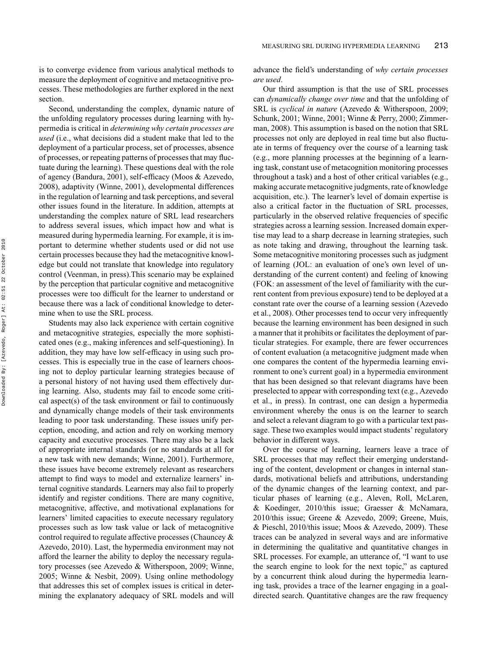is to converge evidence from various analytical methods to measure the deployment of cognitive and metacognitive processes. These methodologies are further explored in the next section.

Second, understanding the complex, dynamic nature of the unfolding regulatory processes during learning with hypermedia is critical in *determining why certain processes are used* (i.e., what decisions did a student make that led to the deployment of a particular process, set of processes, absence of processes, or repeating patterns of processes that may fluctuate during the learning). These questions deal with the role of agency (Bandura, 2001), self-efficacy (Moos & Azevedo, 2008), adaptivity (Winne, 2001), developmental differences in the regulation of learning and task perceptions, and several other issues found in the literature. In addition, attempts at understanding the complex nature of SRL lead researchers to address several issues, which impact how and what is measured during hypermedia learning. For example, it is important to determine whether students used or did not use certain processes because they had the metacognitive knowledge but could not translate that knowledge into regulatory control (Veenman, in press).This scenario may be explained by the perception that particular cognitive and metacognitive processes were too difficult for the learner to understand or because there was a lack of conditional knowledge to determine when to use the SRL process.

Students may also lack experience with certain cognitive and metacognitive strategies, especially the more sophisticated ones (e.g., making inferences and self-questioning). In addition, they may have low self-efficacy in using such processes. This is especially true in the case of learners choosing not to deploy particular learning strategies because of a personal history of not having used them effectively during learning. Also, students may fail to encode some critical aspect(s) of the task environment or fail to continuously and dynamically change models of their task environments leading to poor task understanding. These issues unify perception, encoding, and action and rely on working memory capacity and executive processes. There may also be a lack of appropriate internal standards (or no standards at all for a new task with new demands; Winne, 2001). Furthermore, these issues have become extremely relevant as researchers attempt to find ways to model and externalize learners' internal cognitive standards. Learners may also fail to properly identify and register conditions. There are many cognitive, metacognitive, affective, and motivational explanations for learners' limited capacities to execute necessary regulatory processes such as low task value or lack of metacognitive control required to regulate affective processes (Chauncey & Azevedo, 2010). Last, the hypermedia environment may not afford the learner the ability to deploy the necessary regulatory processes (see Azevedo & Witherspoon, 2009; Winne, 2005; Winne & Nesbit, 2009). Using online methodology that addresses this set of complex issues is critical in determining the explanatory adequacy of SRL models and will

advance the field's understanding of *why certain processes are used*.

Our third assumption is that the use of SRL processes can *dynamically change over time* and that the unfolding of SRL is *cyclical in nature* (Azevedo & Witherspoon, 2009; Schunk, 2001; Winne, 2001; Winne & Perry, 2000; Zimmerman, 2008). This assumption is based on the notion that SRL processes not only are deployed in real time but also fluctuate in terms of frequency over the course of a learning task (e.g., more planning processes at the beginning of a learning task, constant use of metacognition monitoring processes throughout a task) and a host of other critical variables (e.g., making accurate metacognitive judgments, rate of knowledge acquisition, etc.). The learner's level of domain expertise is also a critical factor in the fluctuation of SRL processes, particularly in the observed relative frequencies of specific strategies across a learning session. Increased domain expertise may lead to a sharp decrease in learning strategies, such as note taking and drawing, throughout the learning task. Some metacognitive monitoring processes such as judgment of learning (JOL: an evaluation of one's own level of understanding of the current content) and feeling of knowing (FOK: an assessment of the level of familiarity with the current content from previous exposure) tend to be deployed at a constant rate over the course of a learning session (Azevedo et al., 2008). Other processes tend to occur very infrequently because the learning environment has been designed in such a manner that it prohibits or facilitates the deployment of particular strategies. For example, there are fewer occurrences of content evaluation (a metacognitive judgment made when one compares the content of the hypermedia learning environment to one's current goal) in a hypermedia environment that has been designed so that relevant diagrams have been preselected to appear with corresponding text (e.g., Azevedo et al., in press). In contrast, one can design a hypermedia environment whereby the onus is on the learner to search and select a relevant diagram to go with a particular text passage. These two examples would impact students' regulatory behavior in different ways.

Over the course of learning, learners leave a trace of SRL processes that may reflect their emerging understanding of the content, development or changes in internal standards, motivational beliefs and attributions, understanding of the dynamic changes of the learning context, and particular phases of learning (e.g., Aleven, Roll, McLaren, & Koedinger, 2010/this issue; Graesser & McNamara, 2010/this issue; Greene & Azevedo, 2009; Greene, Muis, & Pieschl, 2010/this issue; Moos & Azevedo, 2009). These traces can be analyzed in several ways and are informative in determining the qualitative and quantitative changes in SRL processes. For example, an utterance of, "I want to use the search engine to look for the next topic," as captured by a concurrent think aloud during the hypermedia learning task, provides a trace of the learner engaging in a goaldirected search. Quantitative changes are the raw frequency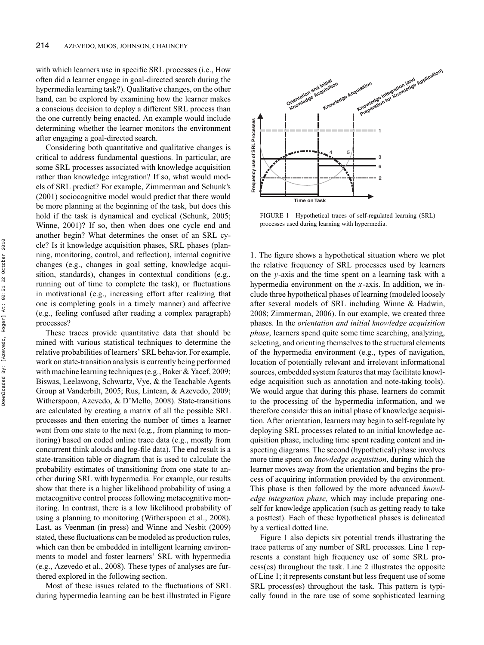with which learners use in specific SRL processes (i.e., How often did a learner engage in goal-directed search during the hypermedia learning task?). Qualitative changes, on the other hand, can be explored by examining how the learner makes a conscious decision to deploy a different SRL process than the one currently being enacted. An example would include determining whether the learner monitors the environment after engaging a goal-directed search.

Considering both quantitative and qualitative changes is critical to address fundamental questions. In particular, are some SRL processes associated with knowledge acquisition rather than knowledge integration? If so, what would models of SRL predict? For example, Zimmerman and Schunk's (2001) sociocognitive model would predict that there would be more planning at the beginning of the task, but does this hold if the task is dynamical and cyclical (Schunk, 2005; Winne, 2001)? If so, then when does one cycle end and another begin? What determines the onset of an SRL cycle? Is it knowledge acquisition phases, SRL phases (planning, monitoring, control, and reflection), internal cognitive changes (e.g., changes in goal setting, knowledge acquisition, standards), changes in contextual conditions (e.g., running out of time to complete the task), or fluctuations in motivational (e.g., increasing effort after realizing that one is completing goals in a timely manner) and affective (e.g., feeling confused after reading a complex paragraph) processes?

These traces provide quantitative data that should be mined with various statistical techniques to determine the relative probabilities of learners' SRL behavior. For example, work on state-transition analysis is currently being performed with machine learning techniques (e.g., Baker & Yacef, 2009; Biswas, Leelawong, Schwartz, Vye, & the Teachable Agents Group at Vanderbilt, 2005; Rus, Lintean, & Azevedo, 2009; Witherspoon, Azevedo, & D'Mello, 2008). State-transitions are calculated by creating a matrix of all the possible SRL processes and then entering the number of times a learner went from one state to the next (e.g., from planning to monitoring) based on coded online trace data (e.g., mostly from concurrent think alouds and log-file data). The end result is a state-transition table or diagram that is used to calculate the probability estimates of transitioning from one state to another during SRL with hypermedia. For example, our results show that there is a higher likelihood probability of using a metacognitive control process following metacognitive monitoring. In contrast, there is a low likelihood probability of using a planning to monitoring (Witherspoon et al., 2008). Last, as Veenman (in press) and Winne and Nesbit (2009) stated, these fluctuations can be modeled as production rules, which can then be embedded in intelligent learning environments to model and foster learners' SRL with hypermedia (e.g., Azevedo et al., 2008). These types of analyses are furthered explored in the following section.

Most of these issues related to the fluctuations of SRL during hypermedia learning can be best illustrated in Figure



FIGURE 1 Hypothetical traces of self-regulated learning (SRL) processes used during learning with hypermedia.

1. The figure shows a hypothetical situation where we plot the relative frequency of SRL processes used by learners on the *y*-axis and the time spent on a learning task with a hypermedia environment on the *x*-axis. In addition, we include three hypothetical phases of learning (modeled loosely after several models of SRL including Winne & Hadwin, 2008; Zimmerman, 2006). In our example, we created three phases. In the *orientation and initial knowledge acquisition phase*, learners spend quite some time searching, analyzing, selecting, and orienting themselves to the structural elements of the hypermedia environment (e.g., types of navigation, location of potentially relevant and irrelevant informational sources, embedded system features that may facilitate knowledge acquisition such as annotation and note-taking tools). We would argue that during this phase, learners do commit to the processing of the hypermedia information, and we therefore consider this an initial phase of knowledge acquisition. After orientation, learners may begin to self-regulate by deploying SRL processes related to an initial knowledge acquisition phase, including time spent reading content and inspecting diagrams. The second (hypothetical) phase involves more time spent on *knowledge acquisition*, during which the learner moves away from the orientation and begins the process of acquiring information provided by the environment. This phase is then followed by the more advanced *knowledge integration phase,* which may include preparing oneself for knowledge application (such as getting ready to take a posttest). Each of these hypothetical phases is delineated by a vertical dotted line.

Figure 1 also depicts six potential trends illustrating the trace patterns of any number of SRL processes. Line 1 represents a constant high frequency use of some SRL process(es) throughout the task. Line 2 illustrates the opposite of Line 1; it represents constant but less frequent use of some SRL process(es) throughout the task. This pattern is typically found in the rare use of some sophisticated learning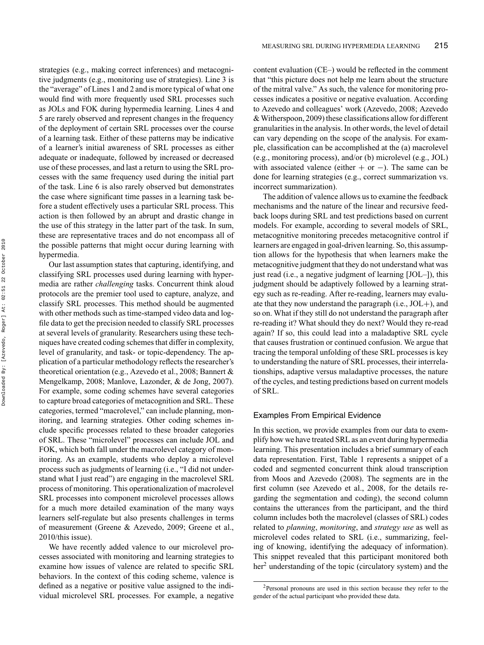strategies (e.g., making correct inferences) and metacognitive judgments (e.g., monitoring use of strategies). Line 3 is the "average" of Lines 1 and 2 and is more typical of what one would find with more frequently used SRL processes such as JOLs and FOK during hypermedia learning. Lines 4 and 5 are rarely observed and represent changes in the frequency of the deployment of certain SRL processes over the course of a learning task. Either of these patterns may be indicative of a learner's initial awareness of SRL processes as either adequate or inadequate, followed by increased or decreased use of these processes, and last a return to using the SRL processes with the same frequency used during the initial part of the task. Line 6 is also rarely observed but demonstrates the case where significant time passes in a learning task before a student effectively uses a particular SRL process. This action is then followed by an abrupt and drastic change in the use of this strategy in the latter part of the task. In sum, these are representative traces and do not encompass all of the possible patterns that might occur during learning with hypermedia.

Our last assumption states that capturing, identifying, and classifying SRL processes used during learning with hypermedia are rather *challenging* tasks. Concurrent think aloud protocols are the premier tool used to capture, analyze, and classify SRL processes. This method should be augmented with other methods such as time-stamped video data and logfile data to get the precision needed to classify SRL processes at several levels of granularity. Researchers using these techniques have created coding schemes that differ in complexity, level of granularity, and task- or topic-dependency. The application of a particular methodology reflects the researcher's theoretical orientation (e.g., Azevedo et al., 2008; Bannert & Mengelkamp, 2008; Manlove, Lazonder, & de Jong, 2007). For example, some coding schemes have several categories to capture broad categories of metacognition and SRL. These categories, termed "macrolevel," can include planning, monitoring, and learning strategies. Other coding schemes include specific processes related to these broader categories of SRL. These "microlevel" processes can include JOL and FOK, which both fall under the macrolevel category of monitoring. As an example, students who deploy a microlevel process such as judgments of learning (i.e., "I did not understand what I just read") are engaging in the macrolevel SRL process of monitoring. This operationalization of macrolevel SRL processes into component microlevel processes allows for a much more detailed examination of the many ways learners self-regulate but also presents challenges in terms of measurement (Greene & Azevedo, 2009; Greene et al., 2010/this issue).

We have recently added valence to our microlevel processes associated with monitoring and learning strategies to examine how issues of valence are related to specific SRL behaviors. In the context of this coding scheme, valence is defined as a negative or positive value assigned to the individual microlevel SRL processes. For example, a negative content evaluation (CE–) would be reflected in the comment that "this picture does not help me learn about the structure of the mitral valve." As such, the valence for monitoring processes indicates a positive or negative evaluation. According to Azevedo and colleagues' work (Azevedo, 2008; Azevedo & Witherspoon, 2009) these classifications allow for different granularities in the analysis. In other words, the level of detail can vary depending on the scope of the analysis. For example, classification can be accomplished at the (a) macrolevel (e.g., monitoring process), and/or (b) microlevel (e.g., JOL) with associated valence (either  $+$  or  $-$ ). The same can be done for learning strategies (e.g., correct summarization vs. incorrect summarization).

The addition of valence allows us to examine the feedback mechanisms and the nature of the linear and recursive feedback loops during SRL and test predictions based on current models. For example, according to several models of SRL, metacognitive monitoring precedes metacognitive control if learners are engaged in goal-driven learning. So, this assumption allows for the hypothesis that when learners make the metacognitive judgment that they do not understand what was just read (i.e., a negative judgment of learning [JOL–]), this judgment should be adaptively followed by a learning strategy such as re-reading. After re-reading, learners may evaluate that they now understand the paragraph (i.e., JOL+), and so on. What if they still do not understand the paragraph after re-reading it? What should they do next? Would they re-read again? If so, this could lead into a maladaptive SRL cycle that causes frustration or continued confusion. We argue that tracing the temporal unfolding of these SRL processes is key to understanding the nature of SRL processes, their interrelationships, adaptive versus maladaptive processes, the nature of the cycles, and testing predictions based on current models of SRL.

#### Examples From Empirical Evidence

In this section, we provide examples from our data to exemplify how we have treated SRL as an event during hypermedia learning. This presentation includes a brief summary of each data representation. First, Table 1 represents a snippet of a coded and segmented concurrent think aloud transcription from Moos and Azevedo (2008). The segments are in the first column (see Azevedo et al., 2008, for the details regarding the segmentation and coding), the second column contains the utterances from the participant, and the third column includes both the macrolevel (classes of SRL) codes related to *planning*, *monitoring*, and *strategy use* as well as microlevel codes related to SRL (i.e., summarizing, feeling of knowing, identifying the adequacy of information). This snippet revealed that this participant monitored both her<sup>2</sup> understanding of the topic (circulatory system) and the

<sup>2</sup>Personal pronouns are used in this section because they refer to the gender of the actual participant who provided these data.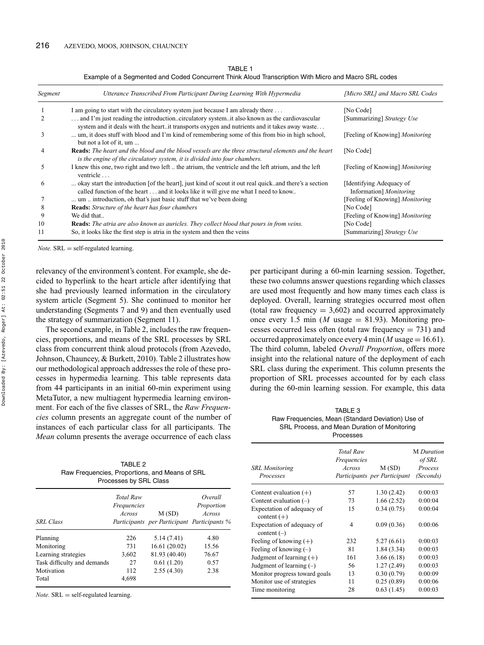| Segment | Utterance Transcribed From Participant During Learning With Hypermedia                                                                                                                      | [Micro SRL] and Macro SRL Codes                     |
|---------|---------------------------------------------------------------------------------------------------------------------------------------------------------------------------------------------|-----------------------------------------------------|
|         | I am going to start with the circulatory system just because I am already there                                                                                                             | [No Code]                                           |
|         | and I'm just reading the introductioncirculatory systemit also known as the cardiovascular<br>system and it deals with the heartit transports oxygen and nutrients and it takes away waste  | [Summarizing] Strategy Use                          |
| 3       | um, it does stuff with blood and I'm kind of remembering some of this from bio in high school,<br>but not a lot of it, um                                                                   | [Feeling of Knowing] Monitoring                     |
| 4       | Reads: The heart and the blood and the blood vessels are the three structural elements and the heart<br>is the engine of the circulatory system, it is divided into four chambers.          | [No Code]                                           |
| 5       | I knew this one, two right and two left  the atrium, the ventricle and the left atrium, and the left<br>ventricle                                                                           | [Feeling of Knowing] Monitoring                     |
| 6       | okay start the introduction [of the heart], just kind of scout it out real quickand there's a section<br>called function of the heart and it looks like it will give me what I need to know | [Identifying Adequacy of<br>Information] Monitoring |
|         | um  introduction, oh that's just basic stuff that we've been doing                                                                                                                          | [Feeling of Knowing] Monitoring                     |
| 8       | <b>Reads:</b> Structure of the heart has four chambers                                                                                                                                      | [No Code]                                           |
| 9       | We did that                                                                                                                                                                                 | [Feeling of Knowing] Monitoring                     |
| 10      | <b>Reads:</b> The atria are also known as auricles. They collect blood that pours in from veins.                                                                                            | [No Code]                                           |
| 11      | So, it looks like the first step is atria in the system and then the veins                                                                                                                  | [Summarizing] Strategy Use                          |

TABLE 1

Example of a Segmented and Coded Concurrent Think Aloud Transcription With Micro and Macro SRL codes

 $Note.$   $SRL = self-regularized learning.$ 

relevancy of the environment's content. For example, she decided to hyperlink to the heart article after identifying that she had previously learned information in the circulatory system article (Segment 5). She continued to monitor her understanding (Segments 7 and 9) and then eventually used the strategy of summarization (Segment 11).

The second example, in Table 2, includes the raw frequencies, proportions, and means of the SRL processes by SRL class from concurrent think aloud protocols (from Azevedo, Johnson, Chauncey, & Burkett, 2010). Table 2 illustrates how our methodological approach addresses the role of these processes in hypermedia learning. This table represents data from 44 participants in an initial 60-min experiment using MetaTutor, a new multiagent hypermedia learning environment. For each of the five classes of SRL, the *Raw Frequencies* column presents an aggregate count of the number of instances of each particular class for all participants. The *Mean* column presents the average occurrence of each class

TABLE 2 Raw Frequencies, Proportions, and Means of SRL Processes by SRL Class

| <b>SRL</b> Class            | <b>Total Raw</b><br>Frequencies<br>Across | M(SD)<br>Participants per Participant Participants % | Overall<br>Proportion<br>Across |
|-----------------------------|-------------------------------------------|------------------------------------------------------|---------------------------------|
| Planning                    | 226                                       | 5.14(7.41)                                           | 4.80                            |
| Monitoring                  | 731                                       | 16.61(20.02)                                         | 15.56                           |
| Learning strategies         | 3,602                                     | 81.93 (40.40)                                        | 76.67                           |
| Task difficulty and demands | 27                                        | 0.61(1.20)                                           | 0.57                            |
| Motivation                  | 112                                       | 2.55(4.30)                                           | 2.38                            |
| Total                       | 4,698                                     |                                                      |                                 |

*Note.* SRL = self-regulated learning.

per participant during a 60-min learning session. Together, these two columns answer questions regarding which classes are used most frequently and how many times each class is deployed. Overall, learning strategies occurred most often (total raw frequency  $= 3,602$ ) and occurred approximately once every 1.5 min (*M* usage  $= 81.93$ ). Monitoring processes occurred less often (total raw frequency  $= 731$ ) and occurred approximately once every  $4 \text{ min} (M \text{ usage} = 16.61)$ . The third column, labeled *Overall Proportion*, offers more insight into the relational nature of the deployment of each SRL class during the experiment. This column presents the proportion of SRL processes accounted for by each class during the 60-min learning session. For example, this data

TABLE 3 Raw Frequencies, Mean (Standard Deviation) Use of SRL Process, and Mean Duration of Monitoring Processes

| <b>SRL</b> Monitoring<br>Processes          | Total Raw<br>Frequencies<br>Across | M(SD)<br>Participants per Participant | <b>M</b> Duration<br>of SRL<br>Process<br>(Seconds) |
|---------------------------------------------|------------------------------------|---------------------------------------|-----------------------------------------------------|
| Content evaluation $(+)$                    | 57                                 | 1.30(2.42)                            | 0:00:03                                             |
| Content evaluation $(-)$                    | 73                                 | 1.66(2.52)                            | 0:00:04                                             |
| Expectation of adequacy of<br>content $(+)$ | 15                                 | 0.34(0.75)                            | 0:00:04                                             |
| Expectation of adequacy of<br>content $(-)$ | 4                                  | 0.09(0.36)                            | 0:00:06                                             |
| Feeling of knowing $(+)$                    | 232                                | 5.27(6.61)                            | 0:00:03                                             |
| Feeling of knowing $(-)$                    | 81                                 | 1.84(3.34)                            | 0:00:03                                             |
| Judgment of learning $(+)$                  | 161                                | 3.66(6.18)                            | 0:00:03                                             |
| Judgment of learning $(-)$                  | 56                                 | 1.27(2.49)                            | 0:00:03                                             |
| Monitor progress toward goals               | 13                                 | 0.30(0.79)                            | 0:00:09                                             |
| Monitor use of strategies                   | 11                                 | 0.25(0.89)                            | 0:00:06                                             |
| Time monitoring                             | 28                                 | 0.63(1.45)                            | 0:00:03                                             |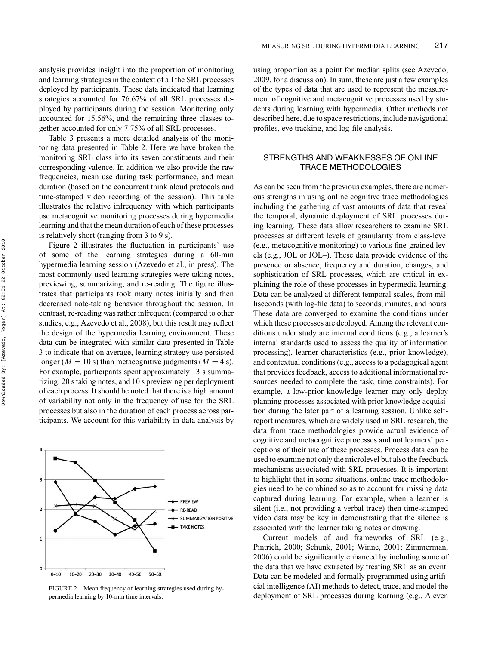analysis provides insight into the proportion of monitoring and learning strategies in the context of all the SRL processes deployed by participants. These data indicated that learning strategies accounted for 76.67% of all SRL processes deployed by participants during the session. Monitoring only accounted for 15.56%, and the remaining three classes together accounted for only 7.75% of all SRL processes.

Table 3 presents a more detailed analysis of the monitoring data presented in Table 2. Here we have broken the monitoring SRL class into its seven constituents and their corresponding valence. In addition we also provide the raw frequencies, mean use during task performance, and mean duration (based on the concurrent think aloud protocols and time-stamped video recording of the session). This table illustrates the relative infrequency with which participants use metacognitive monitoring processes during hypermedia learning and that the mean duration of each of these processes is relatively short (ranging from 3 to 9 s).

Figure 2 illustrates the fluctuation in participants' use of some of the learning strategies during a 60-min hypermedia learning session (Azevedo et al., in press). The most commonly used learning strategies were taking notes, previewing, summarizing, and re-reading. The figure illustrates that participants took many notes initially and then decreased note-taking behavior throughout the session. In contrast, re-reading was rather infrequent (compared to other studies, e.g., Azevedo et al., 2008), but this result may reflect the design of the hypermedia learning environment. These data can be integrated with similar data presented in Table 3 to indicate that on average, learning strategy use persisted longer ( $M = 10$  s) than metacognitive judgments ( $M = 4$  s). For example, participants spent approximately 13 s summarizing, 20 s taking notes, and 10 s previewing per deployment of each process. It should be noted that there is a high amount of variability not only in the frequency of use for the SRL processes but also in the duration of each process across participants. We account for this variability in data analysis by



FIGURE 2 Mean frequency of learning strategies used during hypermedia learning by 10-min time intervals.

using proportion as a point for median splits (see Azevedo, 2009, for a discussion). In sum, these are just a few examples of the types of data that are used to represent the measurement of cognitive and metacognitive processes used by students during learning with hypermedia. Other methods not described here, due to space restrictions, include navigational profiles, eye tracking, and log-file analysis.

# STRENGTHS AND WEAKNESSES OF ONLINE TRACE METHODOLOGIES

As can be seen from the previous examples, there are numerous strengths in using online cognitive trace methodologies including the gathering of vast amounts of data that reveal the temporal, dynamic deployment of SRL processes during learning. These data allow researchers to examine SRL processes at different levels of granularity from class-level (e.g., metacognitive monitoring) to various fine-grained levels (e.g., JOL or JOL–). These data provide evidence of the presence or absence, frequency and duration, changes, and sophistication of SRL processes, which are critical in explaining the role of these processes in hypermedia learning. Data can be analyzed at different temporal scales, from milliseconds (with log-file data) to seconds, minutes, and hours. These data are converged to examine the conditions under which these processes are deployed. Among the relevant conditions under study are internal conditions (e.g., a learner's internal standards used to assess the quality of information processing), learner characteristics (e.g., prior knowledge), and contextual conditions (e.g., access to a pedagogical agent that provides feedback, access to additional informational resources needed to complete the task, time constraints). For example, a low-prior knowledge learner may only deploy planning processes associated with prior knowledge acquisition during the later part of a learning session. Unlike selfreport measures, which are widely used in SRL research, the data from trace methodologies provide actual evidence of cognitive and metacognitive processes and not learners' perceptions of their use of these processes. Process data can be used to examine not only the microlevel but also the feedback mechanisms associated with SRL processes. It is important to highlight that in some situations, online trace methodologies need to be combined so as to account for missing data captured during learning. For example, when a learner is silent (i.e., not providing a verbal trace) then time-stamped video data may be key in demonstrating that the silence is associated with the learner taking notes or drawing.

Current models of and frameworks of SRL (e.g., Pintrich, 2000; Schunk, 2001; Winne, 2001; Zimmerman, 2006) could be significantly enhanced by including some of the data that we have extracted by treating SRL as an event. Data can be modeled and formally programmed using artificial intelligence (AI) methods to detect, trace, and model the deployment of SRL processes during learning (e.g., Aleven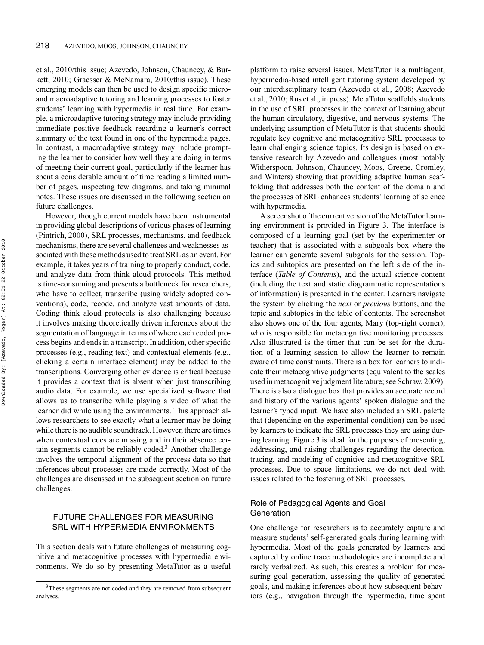et al., 2010/this issue; Azevedo, Johnson, Chauncey, & Burkett, 2010; Graesser & McNamara, 2010/this issue). These emerging models can then be used to design specific microand macroadaptive tutoring and learning processes to foster students' learning with hypermedia in real time. For example, a microadaptive tutoring strategy may include providing immediate positive feedback regarding a learner's correct summary of the text found in one of the hypermedia pages. In contrast, a macroadaptive strategy may include prompting the learner to consider how well they are doing in terms of meeting their current goal, particularly if the learner has spent a considerable amount of time reading a limited number of pages, inspecting few diagrams, and taking minimal notes. These issues are discussed in the following section on future challenges.

However, though current models have been instrumental in providing global descriptions of various phases of learning (Pintrich, 2000), SRL processes, mechanisms, and feedback mechanisms, there are several challenges and weaknesses associated with these methods used to treat SRL as an event. For example, it takes years of training to properly conduct, code, and analyze data from think aloud protocols. This method is time-consuming and presents a bottleneck for researchers, who have to collect, transcribe (using widely adopted conventions), code, recode, and analyze vast amounts of data. Coding think aloud protocols is also challenging because it involves making theoretically driven inferences about the segmentation of language in terms of where each coded process begins and ends in a transcript. In addition, other specific processes (e.g., reading text) and contextual elements (e.g., clicking a certain interface element) may be added to the transcriptions. Converging other evidence is critical because it provides a context that is absent when just transcribing audio data. For example, we use specialized software that allows us to transcribe while playing a video of what the learner did while using the environments. This approach allows researchers to see exactly what a learner may be doing while there is no audible soundtrack. However, there are times when contextual cues are missing and in their absence certain segments cannot be reliably coded.<sup>3</sup> Another challenge involves the temporal alignment of the process data so that inferences about processes are made correctly. Most of the challenges are discussed in the subsequent section on future challenges.

## FUTURE CHALLENGES FOR MEASURING SRL WITH HYPERMEDIA ENVIRONMENTS

This section deals with future challenges of measuring cognitive and metacognitive processes with hypermedia environments. We do so by presenting MetaTutor as a useful platform to raise several issues. MetaTutor is a multiagent, hypermedia-based intelligent tutoring system developed by our interdisciplinary team (Azevedo et al., 2008; Azevedo et al., 2010; Rus et al., in press). MetaTutor scaffolds students in the use of SRL processes in the context of learning about the human circulatory, digestive, and nervous systems. The underlying assumption of MetaTutor is that students should regulate key cognitive and metacognitive SRL processes to learn challenging science topics. Its design is based on extensive research by Azevedo and colleagues (most notably Witherspoon, Johnson, Chauncey, Moos, Greene, Cromley, and Winters) showing that providing adaptive human scaffolding that addresses both the content of the domain and the processes of SRL enhances students' learning of science with hypermedia.

A screenshot of the current version of the MetaTutor learning environment is provided in Figure 3. The interface is composed of a learning goal (set by the experimenter or teacher) that is associated with a subgoals box where the learner can generate several subgoals for the session. Topics and subtopics are presented on the left side of the interface (*Table of Contents*), and the actual science content (including the text and static diagrammatic representations of information) is presented in the center. Learners navigate the system by clicking the *next* or *previous* buttons, and the topic and subtopics in the table of contents. The screenshot also shows one of the four agents, Mary (top-right corner), who is responsible for metacognitive monitoring processes. Also illustrated is the timer that can be set for the duration of a learning session to allow the learner to remain aware of time constraints. There is a box for learners to indicate their metacognitive judgments (equivalent to the scales used in metacognitive judgment literature; see Schraw, 2009). There is also a dialogue box that provides an accurate record and history of the various agents' spoken dialogue and the learner's typed input. We have also included an SRL palette that (depending on the experimental condition) can be used by learners to indicate the SRL processes they are using during learning. Figure 3 is ideal for the purposes of presenting, addressing, and raising challenges regarding the detection, tracing, and modeling of cognitive and metacognitive SRL processes. Due to space limitations, we do not deal with issues related to the fostering of SRL processes.

## Role of Pedagogical Agents and Goal Generation

One challenge for researchers is to accurately capture and measure students' self-generated goals during learning with hypermedia. Most of the goals generated by learners and captured by online trace methodologies are incomplete and rarely verbalized. As such, this creates a problem for measuring goal generation, assessing the quality of generated goals, and making inferences about how subsequent behaviors (e.g., navigation through the hypermedia, time spent

<sup>3</sup>These segments are not coded and they are removed from subsequent analyses.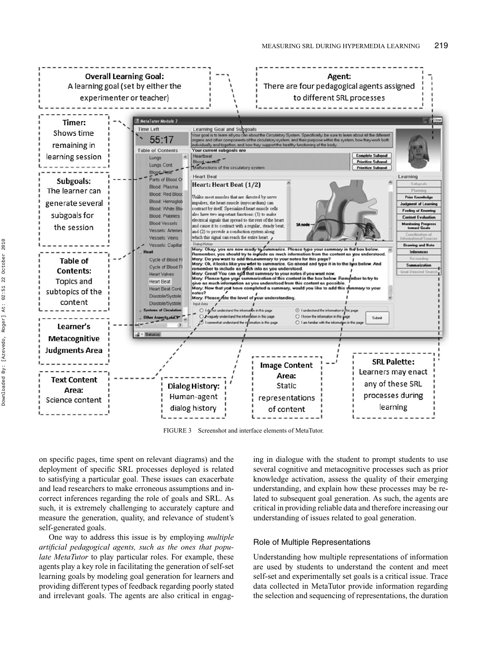

FIGURE 3 Screenshot and interface elements of MetaTutor.

on specific pages, time spent on relevant diagrams) and the deployment of specific SRL processes deployed is related to satisfying a particular goal. These issues can exacerbate and lead researchers to make erroneous assumptions and incorrect inferences regarding the role of goals and SRL. As such, it is extremely challenging to accurately capture and measure the generation, quality, and relevance of student's self-generated goals.

One way to address this issue is by employing *multiple artificial pedagogical agents, such as the ones that populate MetaTutor* to play particular roles. For example, these agents play a key role in facilitating the generation of self-set learning goals by modeling goal generation for learners and providing different types of feedback regarding poorly stated and irrelevant goals. The agents are also critical in engaging in dialogue with the student to prompt students to use several cognitive and metacognitive processes such as prior knowledge activation, assess the quality of their emerging understanding, and explain how these processes may be related to subsequent goal generation. As such, the agents are critical in providing reliable data and therefore increasing our understanding of issues related to goal generation.

# Role of Multiple Representations

Understanding how multiple representations of information are used by students to understand the content and meet self-set and experimentally set goals is a critical issue. Trace data collected in MetaTutor provide information regarding the selection and sequencing of representations, the duration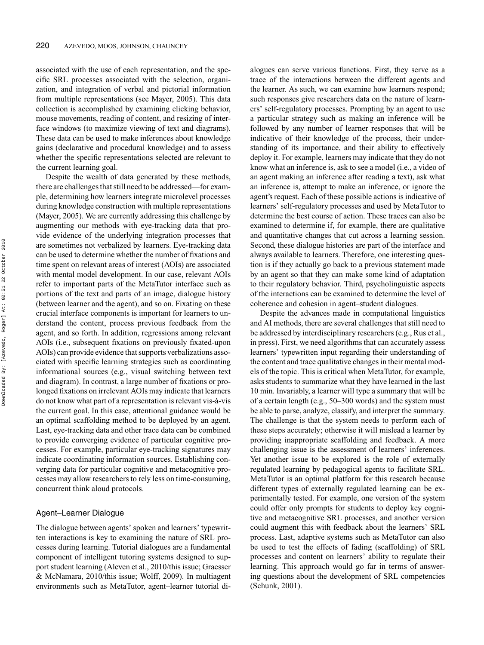associated with the use of each representation, and the specific SRL processes associated with the selection, organization, and integration of verbal and pictorial information from multiple representations (see Mayer, 2005). This data collection is accomplished by examining clicking behavior, mouse movements, reading of content, and resizing of interface windows (to maximize viewing of text and diagrams). These data can be used to make inferences about knowledge gains (declarative and procedural knowledge) and to assess whether the specific representations selected are relevant to the current learning goal.

Despite the wealth of data generated by these methods, there are challenges that still need to be addressed—for example, determining how learners integrate microlevel processes during knowledge construction with multiple representations (Mayer, 2005). We are currently addressing this challenge by augmenting our methods with eye-tracking data that provide evidence of the underlying integration processes that are sometimes not verbalized by learners. Eye-tracking data can be used to determine whether the number of fixations and time spent on relevant areas of interest (AOIs) are associated with mental model development. In our case, relevant AOIs refer to important parts of the MetaTutor interface such as portions of the text and parts of an image, dialogue history (between learner and the agent), and so on. Fixating on these crucial interface components is important for learners to understand the content, process previous feedback from the agent, and so forth. In addition, regressions among relevant AOIs (i.e., subsequent fixations on previously fixated-upon AOIs) can provide evidence that supports verbalizations associated with specific learning strategies such as coordinating informational sources (e.g., visual switching between text and diagram). In contrast, a large number of fixations or prolonged fixations on irrelevant AOIs may indicate that learners do not know what part of a representation is relevant vis-a-vis ` the current goal. In this case, attentional guidance would be an optimal scaffolding method to be deployed by an agent. Last, eye-tracking data and other trace data can be combined to provide converging evidence of particular cognitive processes. For example, particular eye-tracking signatures may indicate coordinating information sources. Establishing converging data for particular cognitive and metacognitive processes may allow researchers to rely less on time-consuming, concurrent think aloud protocols.

#### Agent–Learner Dialogue

The dialogue between agents' spoken and learners' typewritten interactions is key to examining the nature of SRL processes during learning. Tutorial dialogues are a fundamental component of intelligent tutoring systems designed to support student learning (Aleven et al., 2010/this issue; Graesser & McNamara, 2010/this issue; Wolff, 2009). In multiagent environments such as MetaTutor, agent–learner tutorial dialogues can serve various functions. First, they serve as a trace of the interactions between the different agents and the learner. As such, we can examine how learners respond; such responses give researchers data on the nature of learners' self-regulatory processes. Prompting by an agent to use a particular strategy such as making an inference will be followed by any number of learner responses that will be indicative of their knowledge of the process, their understanding of its importance, and their ability to effectively deploy it. For example, learners may indicate that they do not know what an inference is, ask to see a model (i.e., a video of an agent making an inference after reading a text), ask what an inference is, attempt to make an inference, or ignore the agent's request. Each of these possible actions is indicative of learners' self-regulatory processes and used by MetaTutor to determine the best course of action. These traces can also be examined to determine if, for example, there are qualitative and quantitative changes that cut across a learning session. Second, these dialogue histories are part of the interface and always available to learners. Therefore, one interesting question is if they actually go back to a previous statement made by an agent so that they can make some kind of adaptation to their regulatory behavior. Third, psycholinguistic aspects of the interactions can be examined to determine the level of coherence and cohesion in agent–student dialogues.

Despite the advances made in computational linguistics and AI methods, there are several challenges that still need to be addressed by interdisciplinary researchers (e.g., Rus et al., in press). First, we need algorithms that can accurately assess learners' typewritten input regarding their understanding of the content and trace qualitative changes in their mental models of the topic. This is critical when MetaTutor, for example, asks students to summarize what they have learned in the last 10 min. Invariably, a learner will type a summary that will be of a certain length (e.g., 50–300 words) and the system must be able to parse, analyze, classify, and interpret the summary. The challenge is that the system needs to perform each of these steps accurately; otherwise it will mislead a learner by providing inappropriate scaffolding and feedback. A more challenging issue is the assessment of learners' inferences. Yet another issue to be explored is the role of externally regulated learning by pedagogical agents to facilitate SRL. MetaTutor is an optimal platform for this research because different types of externally regulated learning can be experimentally tested. For example, one version of the system could offer only prompts for students to deploy key cognitive and metacognitive SRL processes, and another version could augment this with feedback about the learners' SRL process. Last, adaptive systems such as MetaTutor can also be used to test the effects of fading (scaffolding) of SRL processes and content on learners' ability to regulate their learning. This approach would go far in terms of answering questions about the development of SRL competencies (Schunk, 2001).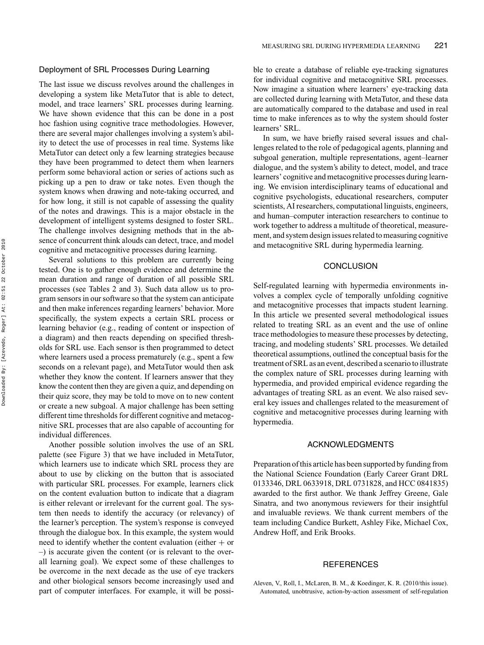#### Deployment of SRL Processes During Learning

The last issue we discuss revolves around the challenges in developing a system like MetaTutor that is able to detect, model, and trace learners' SRL processes during learning. We have shown evidence that this can be done in a post hoc fashion using cognitive trace methodologies. However, there are several major challenges involving a system's ability to detect the use of processes in real time. Systems like MetaTutor can detect only a few learning strategies because they have been programmed to detect them when learners perform some behavioral action or series of actions such as picking up a pen to draw or take notes. Even though the system knows when drawing and note-taking occurred, and for how long, it still is not capable of assessing the quality of the notes and drawings. This is a major obstacle in the development of intelligent systems designed to foster SRL. The challenge involves designing methods that in the absence of concurrent think alouds can detect, trace, and model cognitive and metacognitive processes during learning.

Several solutions to this problem are currently being tested. One is to gather enough evidence and determine the mean duration and range of duration of all possible SRL processes (see Tables 2 and 3). Such data allow us to program sensors in our software so that the system can anticipate and then make inferences regarding learners' behavior. More specifically, the system expects a certain SRL process or learning behavior (e.g., reading of content or inspection of a diagram) and then reacts depending on specified thresholds for SRL use. Each sensor is then programmed to detect where learners used a process prematurely (e.g., spent a few seconds on a relevant page), and MetaTutor would then ask whether they know the content. If learners answer that they know the content then they are given a quiz, and depending on their quiz score, they may be told to move on to new content or create a new subgoal. A major challenge has been setting different time thresholds for different cognitive and metacognitive SRL processes that are also capable of accounting for individual differences.

Another possible solution involves the use of an SRL palette (see Figure 3) that we have included in MetaTutor, which learners use to indicate which SRL process they are about to use by clicking on the button that is associated with particular SRL processes. For example, learners click on the content evaluation button to indicate that a diagram is either relevant or irrelevant for the current goal. The system then needs to identify the accuracy (or relevancy) of the learner's perception. The system's response is conveyed through the dialogue box. In this example, the system would need to identify whether the content evaluation (either + or –) is accurate given the content (or is relevant to the overall learning goal). We expect some of these challenges to be overcome in the next decade as the use of eye trackers and other biological sensors become increasingly used and part of computer interfaces. For example, it will be possible to create a database of reliable eye-tracking signatures for individual cognitive and metacognitive SRL processes. Now imagine a situation where learners' eye-tracking data are collected during learning with MetaTutor, and these data are automatically compared to the database and used in real time to make inferences as to why the system should foster learners' SRL.

In sum, we have briefly raised several issues and challenges related to the role of pedagogical agents, planning and subgoal generation, multiple representations, agent–learner dialogue, and the system's ability to detect, model, and trace learners' cognitive and metacognitive processes during learning. We envision interdisciplinary teams of educational and cognitive psychologists, educational researchers, computer scientists, AI researchers, computational linguists, engineers, and human–computer interaction researchers to continue to work together to address a multitude of theoretical, measurement, and system design issues related to measuring cognitive and metacognitive SRL during hypermedia learning.

#### **CONCLUSION**

Self-regulated learning with hypermedia environments involves a complex cycle of temporally unfolding cognitive and metacognitive processes that impacts student learning. In this article we presented several methodological issues related to treating SRL as an event and the use of online trace methodologies to measure these processes by detecting, tracing, and modeling students' SRL processes. We detailed theoretical assumptions, outlined the conceptual basis for the treatment of SRL as an event, described a scenario to illustrate the complex nature of SRL processes during learning with hypermedia, and provided empirical evidence regarding the advantages of treating SRL as an event. We also raised several key issues and challenges related to the measurement of cognitive and metacognitive processes during learning with hypermedia.

#### ACKNOWLEDGMENTS

Preparation of this article has been supported by funding from the National Science Foundation (Early Career Grant DRL 0133346, DRL 0633918, DRL 0731828, and HCC 0841835) awarded to the first author. We thank Jeffrey Greene, Gale Sinatra, and two anonymous reviewers for their insightful and invaluable reviews. We thank current members of the team including Candice Burkett, Ashley Fike, Michael Cox, Andrew Hoff, and Erik Brooks.

#### **REFERENCES**

Aleven, V., Roll, I., McLaren, B. M., & Koedinger, K. R. (2010/this issue). Automated, unobtrusive, action-by-action assessment of self-regulation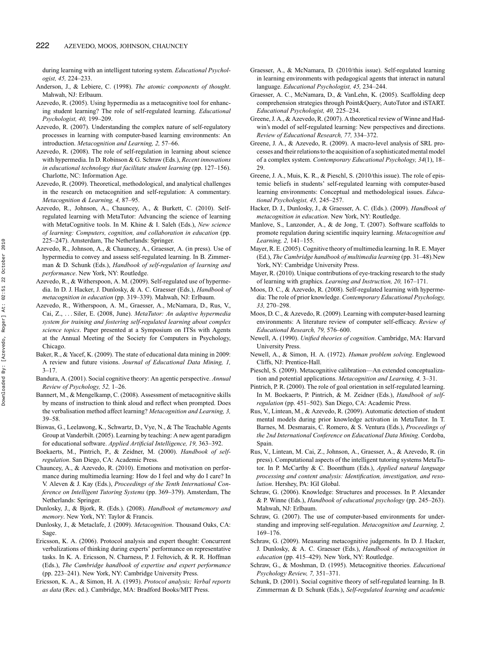during learning with an intelligent tutoring system. *Educational Psychologist, 45,* 224–233.

- Anderson, J., & Lebiere, C. (1998). *The atomic components of thought*. Mahwah, NJ: Erlbaum.
- Azevedo, R. (2005). Using hypermedia as a metacognitive tool for enhancing student learning? The role of self-regulated learning. *Educational Psychologist, 40,* 199–209.
- Azevedo, R. (2007). Understanding the complex nature of self-regulatory processes in learning with computer-based learning environments: An introduction. *Metacognition and Learning, 2,* 57–66.
- Azevedo, R. (2008). The role of self-regulation in learning about science with hypermedia. In D. Robinson & G. Schraw (Eds.), *Recent innovations in educational technology that facilitate student learning* (pp. 127–156). Charlotte, NC: Information Age.
- Azevedo, R. (2009). Theoretical, methodological, and analytical challenges in the research on metacognition and self-regulation: A commentary. *Metacognition & Learning, 4,* 87–95.
- Azevedo, R., Johnson, A., Chauncey, A., & Burkett, C. (2010). Selfregulated learning with MetaTutor: Advancing the science of learning with MetaCognitive tools. In M. Khine & I. Saleh (Eds.), *New science of learning: Computers, cognition, and collaboration in education* (pp. 225–247). Amsterdam, The Netherlands: Springer.
- Azevedo, R., Johnson, A., & Chauncey, A., Graesser, A. (in press). Use of hypermedia to convey and assess self-regulated learning. In B. Zimmerman & D. Schunk (Eds.), *Handbook of self-regulation of learning and performance*. New York, NY: Routledge.
- Azevedo, R., & Witherspoon, A. M. (2009). Self-regulated use of hypermedia. In D. J. Hacker, J. Dunlosky, & A. C. Graesser (Eds.), *Handbook of metacognition in education* (pp. 319–339). Mahwah, NJ: Erlbaum.
- Azevedo, R., Witherspoon, A. M., Graesser, A., McNamara, D., Rus, V., Cai, Z., . . . Siler, E. (2008, June). *MetaTutor: An adaptive hypermedia system for training and fostering self-regulated learning about complex science topics*. Paper presented at a Symposium on ITSs with Agents at the Annual Meeting of the Society for Computers in Psychology, Chicago.
- Baker, R., & Yacef, K. (2009). The state of educational data mining in 2009: A review and future visions. *Journal of Educational Data Mining, 1,*  $3 - 17$
- Bandura, A. (2001). Social cognitive theory: An agentic perspective. *Annual Review of Psychology, 52,* 1–26.
- Bannert, M., & Mengelkamp, C. (2008). Assessment of metacognitive skills by means of instruction to think aloud and reflect when prompted. Does the verbalisation method affect learning? *Metacognition and Learning, 3,* 39–58.
- Biswas, G., Leelawong, K., Schwartz, D., Vye, N., & The Teachable Agents Group at Vanderbilt. (2005). Learning by teaching: A new agent paradigm for educational software. *Applied Artificial Intelligence, 19,* 363–392.
- Boekaerts, M., Pintrich, P., & Zeidner, M. (2000). *Handbook of selfregulation*. San Diego, CA: Academic Press.
- Chauncey, A., & Azevedo, R. (2010). Emotions and motivation on performance during multimedia learning: How do I feel and why do I care? In V. Aleven & J. Kay (Eds.), *Proceedings of the Tenth International Conference on Intelligent Tutoring Systems* (pp. 369–379). Amsterdam, The Netherlands: Springer.
- Dunlosky, J., & Bjork, R. (Eds.). (2008). *Handbook of metamemory and memory*. New York, NY: Taylor & Francis.
- Dunlosky, J., & Metaclafe, J. (2009). *Metacognition*. Thousand Oaks, CA: Sage.
- Ericsson, K. A. (2006). Protocol analysis and expert thought: Concurrent verbalizations of thinking during experts' performance on representative tasks. In K. A. Ericsson, N. Charness, P. J. Feltovich, & R. R. Hoffman (Eds.), *The Cambridge handbook of expertise and expert performance* (pp. 223–241). New York, NY: Cambridge University Press.
- Ericsson, K. A., & Simon, H. A. (1993). *Protocol analysis; Verbal reports as data* (Rev. ed.). Cambridge, MA: Bradford Books/MIT Press.
- Graesser, A., & McNamara, D. (2010/this issue). Self-regulated learning in learning environments with pedagogical agents that interact in natural language. *Educational Psychologist, 45,* 234–244.
- Graesser, A. C., McNamara, D., & VanLehn, K. (2005). Scaffolding deep comprehension strategies through Point&Query, AutoTutor and iSTART. *Educational Psychologist, 40,* 225–234.
- Greene, J. A., & Azevedo, R. (2007). A theoretical review of Winne and Hadwin's model of self-regulated learning: New perspectives and directions. *Review of Educational Research, 77,* 334–372.
- Greene, J. A., & Azevedo, R. (2009). A macro-level analysis of SRL processes and their relations to the acquisition of a sophisticated mental model of a complex system. *Contemporary Educational Psychology, 34*(1), 18– 29.
- Greene, J. A., Muis, K. R., & Pieschl, S. (2010/this issue). The role of epistemic beliefs in students' self-regulated learning with computer-based learning environments: Conceptual and methodological issues. *Educational Psychologist, 45,* 245–257.
- Hacker, D. J., Dunlosky, J., & Graesser, A. C. (Eds.). (2009). *Handbook of metacognition in education*. New York, NY: Routledge.
- Manlove, S., Lanzonder, A., & de Jong, T. (2007). Software scaffolds to promote regulation during scientific inquiry learning. *Metacognition and Learning, 2,* 141–155.
- Mayer, R. E. (2005). Cognitive theory of multimedia learning. In R. E. Mayer (Ed.), *The Cambridge handbook of multimedia learning* (pp. 31–48).New York, NY: Cambridge University Press.
- Mayer, R. (2010). Unique contributions of eye-tracking research to the study of learning with graphics. *Learning and Instruction, 20,* 167–171.
- Moos, D. C., & Azevedo, R. (2008). Self-regulated learning with hypermedia: The role of prior knowledge. *Contemporary Educational Psychology, 33,* 270–298.
- Moos, D. C., & Azevedo, R. (2009). Learning with computer-based learning environments: A literature review of computer self-efficacy. *Review of Educational Research, 79,* 576–600.
- Newell, A. (1990). *Unified theories of cognition*. Cambridge, MA: Harvard University Press.
- Newell, A., & Simon, H. A. (1972). *Human problem solving*. Englewood Cliffs, NJ: Prentice-Hall.
- Pieschl, S. (2009). Metacognitive calibration—An extended conceptualization and potential applications. *Metacognition and Learning, 4,* 3–31.
- Pintrich, P. R. (2000). The role of goal orientation in self-regulated learning. In M. Boekaerts, P. Pintrich, & M. Zeidner (Eds.), *Handbook of selfregulation* (pp. 451–502). San Diego, CA: Academic Press.
- Rus, V., Lintean, M., & Azevedo, R. (2009). Automatic detection of student mental models during prior knowledge activation in MetaTutor. In T. Barnes, M. Desmarais, C. Romero, & S. Ventura (Eds.), *Proceedings of the 2nd International Conference on Educational Data Mining*. Cordoba, Spain.
- Rus, V., Lintean, M. Cai, Z., Johnson, A., Graesser, A., & Azevedo, R. (in press). Computational aspects of the intelligent tutoring systems MetaTutor. In P. McCarthy & C. Boonthum (Eds.), *Applied natural language processing and content analysis: Identification, investigation, and resolution*. Hershey, PA: IGI Global.
- Schraw, G. (2006). Knowledge: Structures and processes. In P. Alexander & P. Winne (Eds.), *Handbook of educational psychology* (pp. 245–263). Mahwah, NJ: Erlbaum.
- Schraw, G. (2007). The use of computer-based environments for understanding and improving self-regulation. *Metacognition and Learning, 2,* 169–176.
- Schraw, G. (2009). Measuring metacognitive judgements. In D. J. Hacker, J. Dunlosky, & A. C. Graesser (Eds.), *Handbook of metacognition in education* (pp. 415–429). New York, NY: Routledge.
- Schraw, G., & Moshman, D. (1995). Metacognitive theories. *Educational Psychology Review, 7,* 351–371.
- Schunk, D. (2001). Social cognitive theory of self-regulated learning. In B. Zimmerman & D. Schunk (Eds.), *Self-regulated learning and academic*